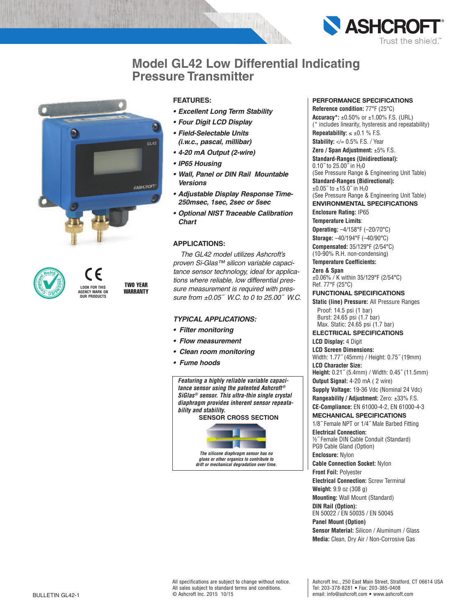

## **Model GL42 Low Differential Indicating Pressure Transmitter**



**LOOK FOR THIS AGENCY MARK ON OUR PRODUCTS TWO YEAR WARRANTY**

#### **FEATURES:**

- *• Excellent Long Term Stability*
- *• Four Digit LCD Display*
- *• Field-Selectable Units (i.w.c., pascal, millibar)*
- *• 4-20 mA Output (2-wire)*
- *• IP65 Housing*
- *• Wall, Panel or DIN Rail Mountable Versions*
- *• Adjustable Display Response Time-250msec, 1sec, 2sec or 5sec*
- *• Optional NIST Traceable Calibration Chart*

### **APPLICATIONS:**

*The GL42 model utilizes Ashcroft's proven Si-Glas™ silicon variable capacitance sensor technology, ideal for applications where reliable, low differential pressure measurement is required with pressure from ±0.05˝ W.C. to 0 to 25.00˝ W.C.*

#### *TYPICAL APPLICATIONS:*

- *• Filter monitoring*
- *• Flow measurement*
- *• Clean room monitoring*
- *• Fume hoods*

*Featuring a highly reliable variable capacitance sensor using the patented Ashcroft® SiGlas® sensor. This ultra-thin single crystal diaphragm provides inherent sensor repeatability and stability.*

**SENSOR CROSS SECTION**



*The silicone diaphragm sensor has no glues or other organics to contribute to drift or mechanical degradation over time.*

#### **PERFORMANCE SPECIFICATIONS**

**Reference condition:** 77°F (25°C) **Accuracy\*:** ±0.50% or ±1.00% F.S. (URL) (\* includes linearity, hysteresis and repeatability) **Repeatability:**  $\leq \pm 0.1$  % F.S. **Stability:**  $\langle \rangle = 0.5\%$  F.S. / Year

**Zero / Span Adjustment:** ±5% F.S.

**Standard-Ranges (Unidirectional):**  $0.10$ <sup>"</sup> to 25.00 $\frac{1}{10}$  in H<sub>2</sub>0 (See Pressure Range & Engineering Unit Table) **Standard-Ranges (Bidirectional):**  $\pm 0.05$ <sup>"</sup> to  $\pm 15.0$ " in H<sub>2</sub>0 (See Pressure Range & Engineering Unit Table)

**ENVIRONMENTAL SPECIFICATIONS**

**Enclosure Rating:** IP65 **Temperature Limits**:

**Operating:** –4/158°F (–20/70°C) **Storage:** –40/194°F (–40/90°C) **Compensated:** 35/129°F (2/54°C)

(10-90% R.H. non-condensing) **Temperature Coefficients:**

**Zero & Span** ±0.06% / K within 35/129°F (2/54°C) Ref. 77°F (25°C)

#### **FUNCTIONAL SPECIFICATIONS**

**Static (line) Pressure:** All Pressure Ranges Proof: 14.5 psi (1 bar) Burst: 24.65 psi (1.7 bar) Max. Static: 24.65 psi (1.7 bar)

**ELECTRICAL SPECIFICATIONS LCD Display:** 4 Digit

**LCD Screen Dimensions:** Width: 1.77˝ (45mm) / Height: 0.75˝ (19mm)

**LCD Character Size: Height:** 0.21˝ (5.4mm) / Width: 0.45˝ (11.5mm) **Output Signal:** 4-20 mA ( 2 wire) **Supply Voltage:** 19-36 Vdc (Nominal 24 Vdc) **Rangeability / Adjustment:** Zero: ±33% F.S.

**CE-Compliance:** EN 61000-4-2, EN 61000-4-3

## **MECHANICAL SPECIFICATIONS**

1/8˝ Female NPT or 1/4˝ Male Barbed Fitting **Electrical Connection:**

½˝ Female DIN Cable Conduit (Standard) PG9 Cable Gland (Option)

**Enclosure:** Nylon **Cable Connection Socket:** Nylon

**Front Foil:** Polyester **Electrical Connection:** Screw Terminal

**Weight:** 9.9 oz (308 g) **Mounting:** Wall Mount (Standard)

**DIN Rail (Option):**

EN 50022 / EN 50035 / EN 50045 **Panel Mount (Option)**

**Sensor Material:** Silicon / Aluminum / Glass

**Media:** Clean, Dry Air / Non-Corrosive Gas